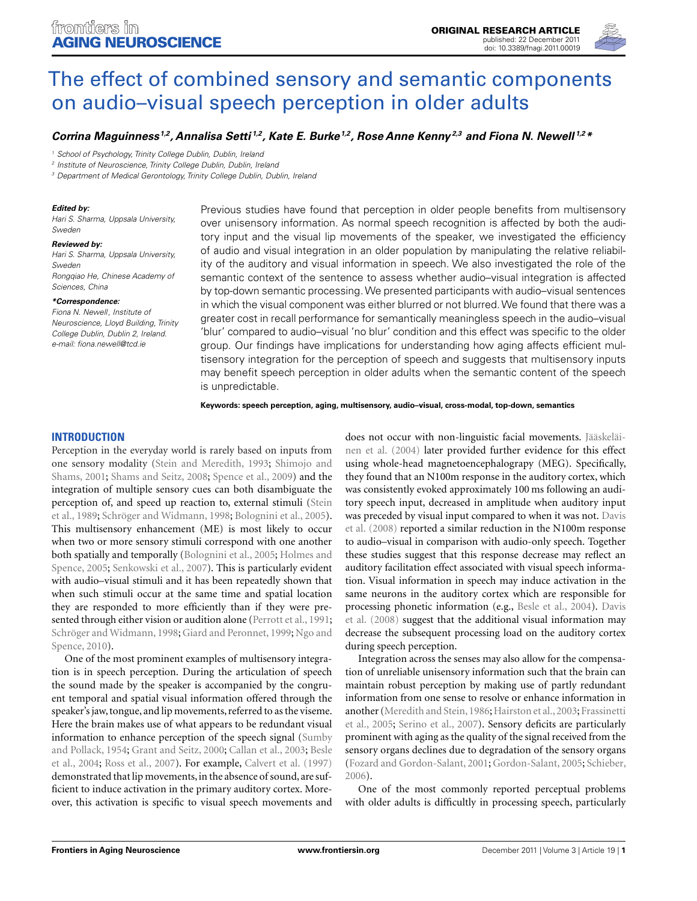

# [The effect of combined sensory and semantic components](http://www.frontiersin.org/Aging_Neuroscience/10.3389/fnagi.2011.00019/abstract) on audio–visual speech perception in older adults

# *[Corrina Maguinness](http://www.frontiersin.org/Community/WhosWhoDetails.aspx?UID=35242&d=1&sname=CorrinaMaguinness&name=Science) 1,2, [Annalisa Setti](http://www.frontiersin.org/Community/WhosWhoDetails.aspx?UID=7880&d=1&sname=AnnalisaSetti&name=Science) 1,2, Kate E. Burke1,2, Rose Anne Kenny 2,3 and [Fiona N. Newell](http://www.frontiersin.org/Community/WhosWhoDetails.aspx?UID=13496&d=2&sname=fionanewell&name=Science) 1,2\**

<sup>1</sup> School of Psychology, Trinity College Dublin, Dublin, Ireland

<sup>2</sup> Institute of Neuroscience, Trinity College Dublin, Dublin, Ireland

<sup>3</sup> Department of Medical Gerontology, Trinity College Dublin, Dublin, Ireland

#### *Edited by:*

Hari S. Sharma, Uppsala University, Sweden

#### *Reviewed by:*

Hari S. Sharma, Uppsala University, Sweden Rongqiao He, Chinese Academy of Sciences, China

#### *\*Correspondence:*

Fiona N. Newell, Institute of Neuroscience, Lloyd Building, Trinity College Dublin, Dublin 2, Ireland. e-mail: [fiona.newell@tcd.ie](mailto:fiona.newell@tcd.ie)

Previous studies have found that perception in older people benefits from multisensory over unisensory information. As normal speech recognition is affected by both the auditory input and the visual lip movements of the speaker, we investigated the efficiency of audio and visual integration in an older population by manipulating the relative reliability of the auditory and visual information in speech. We also investigated the role of the semantic context of the sentence to assess whether audio–visual integration is affected by top-down semantic processing.We presented participants with audio–visual sentences in which the visual component was either blurred or not blurred.We found that there was a greater cost in recall performance for semantically meaningless speech in the audio–visual 'blur' compared to audio–visual 'no blur' condition and this effect was specific to the older group. Our findings have implications for understanding how aging affects efficient multisensory integration for the perception of speech and suggests that multisensory inputs may benefit speech perception in older adults when the semantic content of the speech is unpredictable.

**Keywords: speech perception, aging, multisensory, audio–visual, cross-modal, top-down, semantics**

# **INTRODUCTION**

Perception in the everyday world is rarely based on inputs from one s[ensory](#page-7-0) [modality](#page-7-0) [\(Stein and Meredith](#page-8-0)[,](#page-7-0) [1993](#page-8-0)[;](#page-7-0) Shimojo and Shams, [2001;](#page-7-0) [Shams and Seitz, 2008](#page-7-0); [Spence et al.](#page-8-0), [2009](#page-8-0)) and the integration of multiple sensory cues can both disambiguate the perc[eption of, and speed up reaction to, external stimuli \(](#page-8-0)Stein et al., [1989](#page-8-0); [Schröger and Widmann, 1998](#page-7-0); [Bolognini et al., 2005](#page-7-0)). This multisensory enhancement (ME) is most likely to occur when two or more sensory stimuli correspond with one another both s[patially](#page-7-0) [and](#page-7-0) [temporally](#page-7-0) [\(Bolognini et al., 2005;](#page-7-0) Holmes and Spence, [2005](#page-7-0); [Senkowski et al.](#page-7-0), [2007\)](#page-7-0). This is particularly evident with audio–visual stimuli and it has been repeatedly shown that when such stimuli occur at the same time and spatial location they are responded to more efficiently than if they were pre-sented through either vision or audition alone [\(Perrott et al., 1991;](#page-7-0) [Schröger and Widmann, 1998;](#page-7-0) [Giard and Peronnet](#page-7-0), [1999;](#page-7-0) Ngo and Spence, [2010](#page-7-0)).

One of the most prominent examples of multisensory integration is in speech perception. During the articulation of speech the sound made by the speaker is accompanied by the congruent temporal and spatial visual information offered through the speaker's jaw, tongue, and lip movements, referred to as the viseme. Here the brain makes use of what appears to be redundant visual informatio[n to enhance perception of the speech signal \(](#page-8-0)Sumby and Pollack, [1954](#page-8-0); [Grant and Seitz, 2000;](#page-7-0) [Callan et al., 2003](#page-7-0); Besle et al., [2004](#page-7-0); [Ross et al., 2007\)](#page-7-0). For example, [Calvert et al.](#page-7-0) [\(1997](#page-7-0)) demonstrated that lip movements, in the absence of sound, are sufficient to induce activation in the primary auditory cortex. Moreover, this activation is specific to visual speech movements and

does not [occur](#page-7-0) [with](#page-7-0) [non-linguistic](#page-7-0) [facial](#page-7-0) [movements.](#page-7-0) Jääskeläinen et al. [\(2004\)](#page-7-0) later provided further evidence for this effect using whole-head magnetoencephalograpy (MEG). Specifically, they found that an N100m response in the auditory cortex, which was consistently evoked approximately 100 ms following an auditory speech input, decreased in amplitude when auditory input was [preceded by visual input compared to when it was not.](#page-7-0) Davis et al. [\(2008\)](#page-7-0) reported a similar reduction in the N100m response to audio–visual in comparison with audio-only speech. Together these studies suggest that this response decrease may reflect an auditory facilitation effect associated with visual speech information. Visual information in speech may induce activation in the same neurons in the auditory cortex which are responsible for proc[essing](#page-7-0) [phonetic](#page-7-0) [information](#page-7-0) [\(e.g.,](#page-7-0) [Besle et al.](#page-7-0), [2004\)](#page-7-0). Davis et al. [\(2008](#page-7-0)) suggest that the additional visual information may decrease the subsequent processing load on the auditory cortex during speech perception.

Integration across the senses may also allow for the compensation of unreliable unisensory information such that the brain can maintain robust perception by making use of partly redundant information from one sense to resolve or enhance information in another (Meredith and Stein, 1986; Hairston et al., 2003; Frassinetti et al., [2005](#page-7-0); [Serino et al., 2007\)](#page-7-0). Sensory deficits are particularly prominent with aging as the quality of the signal received from the sensory organs declines due to degradation of the sensory organs [\(Fozard and Gordon-Salant](#page-7-0), [2001](#page-7-0); [Gordon-Salant, 2005;](#page-7-0) [Schieber,](#page-7-0) [2006\)](#page-7-0).

One of the most commonly reported perceptual problems with older adults is difficultly in processing speech, particularly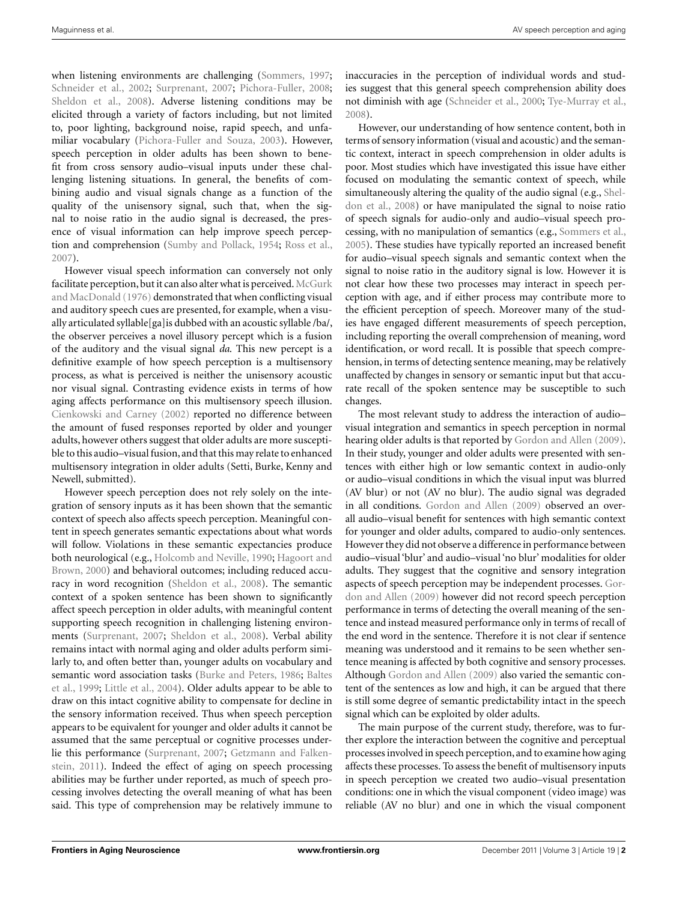when listening environments are challenging [\(Sommers](#page-7-0), [1997;](#page-7-0) [Schneider et al., 2002](#page-7-0); [Surprenant](#page-8-0), [2007](#page-8-0); [Pichora-Fuller](#page-7-0), [2008;](#page-7-0) [Sheldon et al., 2008\)](#page-7-0). Adverse listening conditions may be elicited through a variety of factors including, but not limited to, poor lighting, background noise, rapid speech, and unfamiliar vocabulary [\(Pichora-Fuller and Souza](#page-7-0), [2003\)](#page-7-0). However, speech perception in older adults has been shown to benefit from cross sensory audio–visual inputs under these challenging listening situations. In general, the benefits of combining audio and visual signals change as a function of the quality of the unisensory signal, such that, when the signal to noise ratio in the audio signal is decreased, the presence of visual information can help improve speech perception and comprehension [\(Sumby and Pollack, 1954;](#page-8-0) [Ross et al.,](#page-7-0) [2007\)](#page-7-0).

However visual speech information can conversely not only facilitate percep[tion,](#page-7-0) [but](#page-7-0) [it](#page-7-0) [can](#page-7-0) [also](#page-7-0) [alter](#page-7-0) [what](#page-7-0) [is](#page-7-0) [perceived.](#page-7-0) McGurk and MacDonald [\(1976\)](#page-7-0) demonstrated that when conflicting visual and auditory speech cues are presented, for example, when a visually articulated syllable[ga]is dubbed with an acoustic syllable /ba/, the observer perceives a novel illusory percept which is a fusion of the auditory and the visual signal *da*. This new percept is a definitive example of how speech perception is a multisensory process, as what is perceived is neither the unisensory acoustic nor visual signal. Contrasting evidence exists in terms of how aging affects performance on this multisensory speech illusion. [Cienkowski and Carney](#page-7-0) [\(2002](#page-7-0)) reported no difference between the amount of fused responses reported by older and younger adults, however others suggest that older adults are more susceptible to this audio–visual fusion, and that this may relate to enhanced multisensory integration in older adults (Setti, Burke, Kenny and Newell, submitted).

However speech perception does not rely solely on the integration of sensory inputs as it has been shown that the semantic context of speech also affects speech perception. Meaningful content in speech generates semantic expectations about what words will follow. Violations in these semantic expectancies produce both neurological (e.g., [Holcomb and Neville, 1990;](#page-7-0) Hagoort and Brown, [2000](#page-7-0)) and behavioral outcomes; including reduced accuracy in word recognition [\(Sheldon et al., 2008\)](#page-7-0). The semantic context of a spoken sentence has been shown to significantly affect speech perception in older adults, with meaningful content supporting speech recognition in challenging listening environments [\(Surprenant](#page-8-0), [2007;](#page-8-0) [Sheldon et al.](#page-7-0), [2008\)](#page-7-0). Verbal ability remains intact with normal aging and older adults perform similarly to, and often better than, younger adults on vocabulary and sem[antic word association tasks \(Burke and Peters, 1986;](#page-7-0) Baltes et al., [1999;](#page-7-0) [Little et al.](#page-7-0), [2004](#page-7-0)). Older adults appear to be able to draw on this intact cognitive ability to compensate for decline in the sensory information received. Thus when speech perception appears to be equivalent for younger and older adults it cannot be assumed that the same perceptual or cognitive processes underlie t[his performance](#page-7-0) [\(Surprenant](#page-8-0)[,](#page-7-0) [2007](#page-8-0)[;](#page-7-0) Getzmann and Falkenstein, [2011\)](#page-7-0). Indeed the effect of aging on speech processing abilities may be further under reported, as much of speech processing involves detecting the overall meaning of what has been said. This type of comprehension may be relatively immune to

inaccuracies in the perception of individual words and studies suggest that this general speech comprehension ability does not diminish with age [\(Schneider et al.](#page-7-0), [2000](#page-7-0); [Tye-Murray et al.,](#page-8-0) [2008\)](#page-8-0).

However, our understanding of how sentence content, both in terms of sensory information (visual and acoustic) and the semantic context, interact in speech comprehension in older adults is poor. Most studies which have investigated this issue have either focused on modulating the semantic context of speech, while simultane[ously altering the quality of the audio signal \(e.g.,](#page-7-0) Sheldon et al., [2008\)](#page-7-0) or have manipulated the signal to noise ratio of speech signals for audio-only and audio–visual speech processing, with no manipulation of semantics (e.g., [Sommers et al.,](#page-8-0) [2005\)](#page-8-0). These studies have typically reported an increased benefit for audio–visual speech signals and semantic context when the signal to noise ratio in the auditory signal is low. However it is not clear how these two processes may interact in speech perception with age, and if either process may contribute more to the efficient perception of speech. Moreover many of the studies have engaged different measurements of speech perception, including reporting the overall comprehension of meaning, word identification, or word recall. It is possible that speech comprehension, in terms of detecting sentence meaning, may be relatively unaffected by changes in sensory or semantic input but that accurate recall of the spoken sentence may be susceptible to such changes.

The most relevant study to address the interaction of audio– visual integration and semantics in speech perception in normal hearing older adults is that reported by [Gordon and Allen](#page-7-0) [\(2009](#page-7-0)). In their study, younger and older adults were presented with sentences with either high or low semantic context in audio-only or audio–visual conditions in which the visual input was blurred (AV blur) or not (AV no blur). The audio signal was degraded in all conditions. [Gordon and Allen](#page-7-0) [\(2009\)](#page-7-0) observed an overall audio–visual benefit for sentences with high semantic context for younger and older adults, compared to audio-only sentences. However they did not observe a difference in performance between audio–visual 'blur' and audio–visual 'no blur' modalities for older adults. They suggest that the cognitive and sensory integration aspects of spe[ech perception may be independent processes.](#page-7-0) Gordon and Allen [\(2009](#page-7-0)) however did not record speech perception performance in terms of detecting the overall meaning of the sentence and instead measured performance only in terms of recall of the end word in the sentence. Therefore it is not clear if sentence meaning was understood and it remains to be seen whether sentence meaning is affected by both cognitive and sensory processes. Although [Gordon and Allen](#page-7-0) [\(2009\)](#page-7-0) also varied the semantic content of the sentences as low and high, it can be argued that there is still some degree of semantic predictability intact in the speech signal which can be exploited by older adults.

The main purpose of the current study, therefore, was to further explore the interaction between the cognitive and perceptual processes involved in speech perception, and to examine how aging affects these processes. To assess the benefit of multisensory inputs in speech perception we created two audio–visual presentation conditions: one in which the visual component (video image) was reliable (AV no blur) and one in which the visual component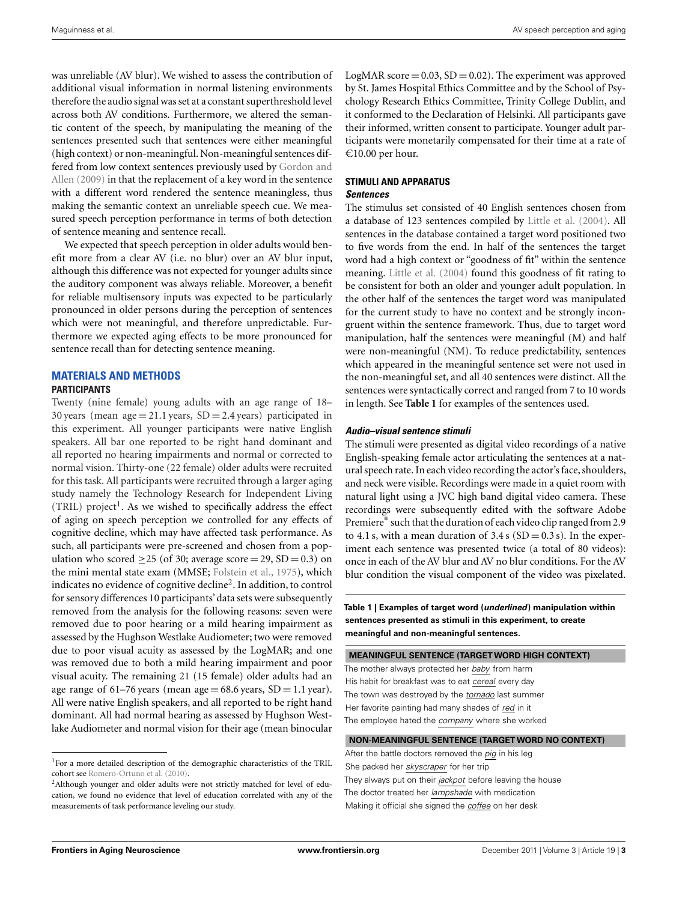was unreliable (AV blur). We wished to assess the contribution of additional visual information in normal listening environments therefore the audio signal was set at a constant superthreshold level across both AV conditions. Furthermore, we altered the semantic content of the speech, by manipulating the meaning of the sentences presented such that sentences were either meaningful (high context) or non-meaningful. Non-meaningful sentences differed from low context sentences previously used by Gordon and Allen [\(2009\)](#page-7-0) in that the replacement of a key word in the sentence with a different word rendered the sentence meaningless, thus making the semantic context an unreliable speech cue. We measured speech perception performance in terms of both detection of sentence meaning and sentence recall.

We expected that speech perception in older adults would benefit more from a clear AV (i.e. no blur) over an AV blur input, although this difference was not expected for younger adults since the auditory component was always reliable. Moreover, a benefit for reliable multisensory inputs was expected to be particularly pronounced in older persons during the perception of sentences which were not meaningful, and therefore unpredictable. Furthermore we expected aging effects to be more pronounced for sentence recall than for detecting sentence meaning.

# **MATERIALS AND METHODS**

# **PARTICIPANTS**

Twenty (nine female) young adults with an age range of 18– 30 years (mean  $age = 21.1$  years,  $SD = 2.4$  years) participated in this experiment. All younger participants were native English speakers. All bar one reported to be right hand dominant and all reported no hearing impairments and normal or corrected to normal vision. Thirty-one (22 female) older adults were recruited for this task. All participants were recruited through a larger aging study namely the Technology Research for Independent Living  $(TRIL)$  project<sup>1</sup>. As we wished to specifically address the effect of aging on speech perception we controlled for any effects of cognitive decline, which may have affected task performance. As such, all participants were pre-screened and chosen from a population who scored  $>25$  (of 30; average score  $= 29$ , SD  $= 0.3$ ) on the mini mental state exam (MMSE; [Folstein et al.](#page-7-0), [1975\)](#page-7-0), which indicates no evidence of cognitive decline<sup>2</sup>. In addition, to control for sensory differences 10 participants' data sets were subsequently removed from the analysis for the following reasons: seven were removed due to poor hearing or a mild hearing impairment as assessed by the Hughson Westlake Audiometer; two were removed due to poor visual acuity as assessed by the LogMAR; and one was removed due to both a mild hearing impairment and poor visual acuity. The remaining 21 (15 female) older adults had an age range of  $61-76$  years (mean age =  $68.6$  years,  $SD = 1.1$  year). All were native English speakers, and all reported to be right hand dominant. All had normal hearing as assessed by Hughson Westlake Audiometer and normal vision for their age (mean binocular

LogMAR score  $= 0.03$ , SD  $= 0.02$ ). The experiment was approved by St. James Hospital Ethics Committee and by the School of Psychology Research Ethics Committee, Trinity College Dublin, and it conformed to the Declaration of Helsinki. All participants gave their informed, written consent to participate. Younger adult participants were monetarily compensated for their time at a rate of €10.00 per hour.

# **STIMULI AND APPARATUS**

# *Sentences*

The stimulus set consisted of 40 English sentences chosen from a database of 123 sentences compiled by [Little et al.](#page-7-0) [\(2004](#page-7-0)). All sentences in the database contained a target word positioned two to five words from the end. In half of the sentences the target word had a high context or "goodness of fit" within the sentence meaning. [Little et al.](#page-7-0) [\(2004\)](#page-7-0) found this goodness of fit rating to be consistent for both an older and younger adult population. In the other half of the sentences the target word was manipulated for the current study to have no context and be strongly incongruent within the sentence framework. Thus, due to target word manipulation, half the sentences were meaningful (M) and half were non-meaningful (NM). To reduce predictability, sentences which appeared in the meaningful sentence set were not used in the non-meaningful set, and all 40 sentences were distinct. All the sentences were syntactically correct and ranged from 7 to 10 words in length. See **Table 1** for examples of the sentences used.

# *Audio–visual sentence stimuli*

The stimuli were presented as digital video recordings of a native English-speaking female actor articulating the sentences at a natural speech rate. In each video recording the actor's face, shoulders, and neck were visible. Recordings were made in a quiet room with natural light using a JVC high band digital video camera. These recordings were subsequently edited with the software Adobe Premiere<sup>®</sup> such that the duration of each video clip ranged from 2.9 to 4.1 s, with a mean duration of  $3.4 s$  (SD = 0.3 s). In the experiment each sentence was presented twice (a total of 80 videos): once in each of the AV blur and AV no blur conditions. For the AV blur condition the visual component of the video was pixelated.

**Table 1 | Examples of target word (***underlined***) manipulation within sentences presented as stimuli in this experiment, to create meaningful and non-meaningful sentences.**

**MEANINGFUL SENTENCE (TARGETWORD HIGH CONTEXT)**

The mother always protected her baby from harm His habit for breakfast was to eat cereal every day The town was destroyed by the tornado last summer Her favorite painting had many shades of red in it The employee hated the company where she worked

#### **NON-MEANINGFUL SENTENCE (TARGETWORD NO CONTEXT)**

After the battle doctors removed the pig in his leg She packed her skyscraper for her trip They always put on their jackpot before leaving the house The doctor treated her lampshade with medication Making it official she signed the coffee on her desk

<sup>&</sup>lt;sup>1</sup>For a more detailed description of the demographic characteristics of the TRIL cohort see [Romero-Ortuno et al.](#page-7-0) [\(2010\)](#page-7-0).

<sup>&</sup>lt;sup>2</sup>Although younger and older adults were not strictly matched for level of education, we found no evidence that level of education correlated with any of the measurements of task performance leveling our study.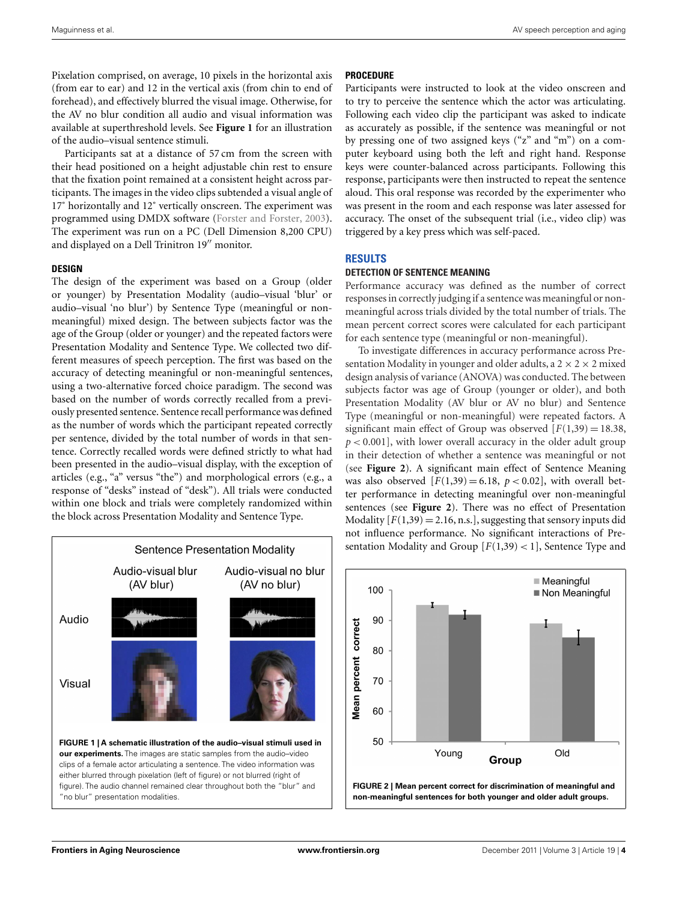Pixelation comprised, on average, 10 pixels in the horizontal axis (from ear to ear) and 12 in the vertical axis (from chin to end of forehead), and effectively blurred the visual image. Otherwise, for the AV no blur condition all audio and visual information was available at superthreshold levels. See **Figure 1** for an illustration of the audio–visual sentence stimuli.

Participants sat at a distance of 57 cm from the screen with their head positioned on a height adjustable chin rest to ensure that the fixation point remained at a consistent height across participants. The images in the video clips subtended a visual angle of 17° horizontally and 12° vertically onscreen. The experiment was programmed using DMDX software [\(Forster and Forster](#page-7-0), [2003](#page-7-0)). The experiment was run on a PC (Dell Dimension 8,200 CPU) and displayed on a Dell Trinitron 19" monitor.

#### **DESIGN**

The design of the experiment was based on a Group (older or younger) by Presentation Modality (audio–visual 'blur' or audio–visual 'no blur') by Sentence Type (meaningful or nonmeaningful) mixed design. The between subjects factor was the age of the Group (older or younger) and the repeated factors were Presentation Modality and Sentence Type. We collected two different measures of speech perception. The first was based on the accuracy of detecting meaningful or non-meaningful sentences, using a two-alternative forced choice paradigm. The second was based on the number of words correctly recalled from a previously presented sentence. Sentence recall performance was defined as the number of words which the participant repeated correctly per sentence, divided by the total number of words in that sentence. Correctly recalled words were defined strictly to what had been presented in the audio–visual display, with the exception of articles (e.g., "a" versus "the") and morphological errors (e.g., a response of "desks" instead of "desk"). All trials were conducted within one block and trials were completely randomized within the block across Presentation Modality and Sentence Type.



## **PROCEDURE**

Participants were instructed to look at the video onscreen and to try to perceive the sentence which the actor was articulating. Following each video clip the participant was asked to indicate as accurately as possible, if the sentence was meaningful or not by pressing one of two assigned keys ("z" and "m") on a computer keyboard using both the left and right hand. Response keys were counter-balanced across participants. Following this response, participants were then instructed to repeat the sentence aloud. This oral response was recorded by the experimenter who was present in the room and each response was later assessed for accuracy. The onset of the subsequent trial (i.e., video clip) was triggered by a key press which was self-paced.

# **RESULTS**

#### **DETECTION OF SENTENCE MEANING**

Performance accuracy was defined as the number of correct responses in correctly judging if a sentence was meaningful or nonmeaningful across trials divided by the total number of trials. The mean percent correct scores were calculated for each participant for each sentence type (meaningful or non-meaningful).

To investigate differences in accuracy performance across Presentation Modality in younger and older adults, a  $2 \times 2 \times 2$  mixed design analysis of variance (ANOVA) was conducted. The between subjects factor was age of Group (younger or older), and both Presentation Modality (AV blur or AV no blur) and Sentence Type (meaningful or non-meaningful) were repeated factors. A significant main effect of Group was observed  $[F(1,39) = 18.38]$ ,  $p < 0.001$ , with lower overall accuracy in the older adult group in their detection of whether a sentence was meaningful or not (see **Figure 2**). A significant main effect of Sentence Meaning was also observed  $[F(1,39) = 6.18, p < 0.02]$ , with overall better performance in detecting meaningful over non-meaningful sentences (see **Figure 2**). There was no effect of Presentation Modality  $[F(1,39) = 2.16, n.s.]$ , suggesting that sensory inputs did not influence performance. No significant interactions of Presentation Modality and Group  $[F(1,39) < 1]$ , Sentence Type and

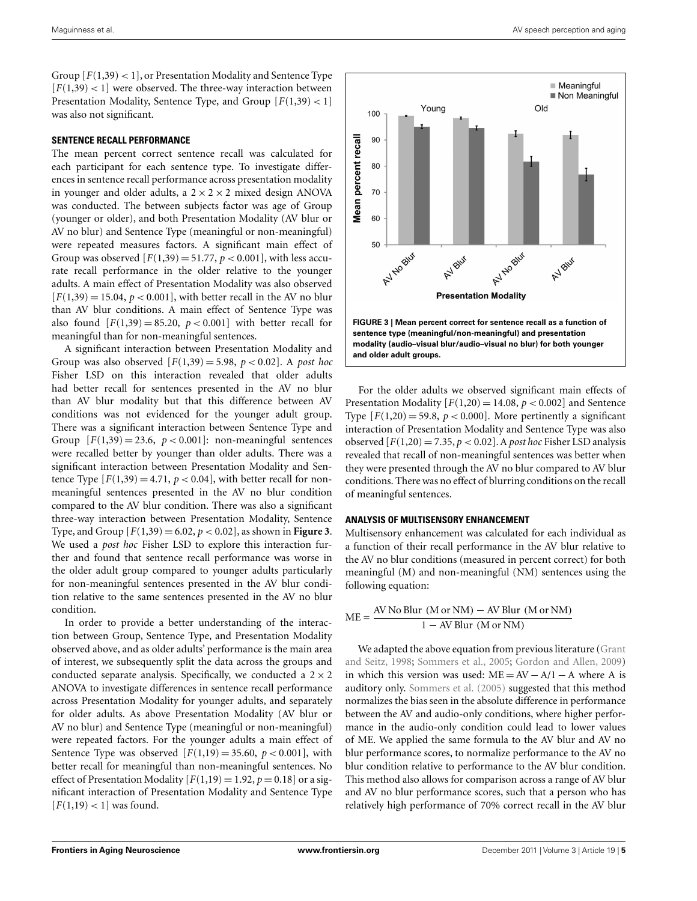<span id="page-4-0"></span>Group  $[F(1,39) < 1]$ , or Presentation Modality and Sentence Type  $[F(1,39)$  < 1] were observed. The three-way interaction between Presentation Modality, Sentence Type, and Group [*F*(1,39) < 1] was also not significant.

#### **SENTENCE RECALL PERFORMANCE**

The mean percent correct sentence recall was calculated for each participant for each sentence type. To investigate differences in sentence recall performance across presentation modality in younger and older adults, a  $2 \times 2 \times 2$  mixed design ANOVA was conducted. The between subjects factor was age of Group (younger or older), and both Presentation Modality (AV blur or AV no blur) and Sentence Type (meaningful or non-meaningful) were repeated measures factors. A significant main effect of Group was observed  $[F(1,39) = 51.77, p < 0.001]$ , with less accurate recall performance in the older relative to the younger adults. A main effect of Presentation Modality was also observed  $[F(1,39) = 15.04, p < 0.001]$ , with better recall in the AV no blur than AV blur conditions. A main effect of Sentence Type was also found  $[F(1,39) = 85.20, p < 0.001]$  with better recall for meaningful than for non-meaningful sentences.

A significant interaction between Presentation Modality and Group was also observed  $[F(1,39) = 5.98, p < 0.02]$ . A *post hoc* Fisher LSD on this interaction revealed that older adults had better recall for sentences presented in the AV no blur than AV blur modality but that this difference between AV conditions was not evidenced for the younger adult group. There was a significant interaction between Sentence Type and Group  $[F(1,39) = 23.6, p < 0.001]$ : non-meaningful sentences were recalled better by younger than older adults. There was a significant interaction between Presentation Modality and Sentence Type  $[F(1,39) = 4.71, p < 0.04]$ , with better recall for nonmeaningful sentences presented in the AV no blur condition compared to the AV blur condition. There was also a significant three-way interaction between Presentation Modality, Sentence Type, and Group  $[F(1,39) = 6.02, p < 0.02]$ , as shown in **Figure 3**. We used a *post hoc* Fisher LSD to explore this interaction further and found that sentence recall performance was worse in the older adult group compared to younger adults particularly for non-meaningful sentences presented in the AV blur condition relative to the same sentences presented in the AV no blur condition.

In order to provide a better understanding of the interaction between Group, Sentence Type, and Presentation Modality observed above, and as older adults' performance is the main area of interest, we subsequently split the data across the groups and conducted separate analysis. Specifically, we conducted a  $2 \times 2$ ANOVA to investigate differences in sentence recall performance across Presentation Modality for younger adults, and separately for older adults. As above Presentation Modality (AV blur or AV no blur) and Sentence Type (meaningful or non-meaningful) were repeated factors. For the younger adults a main effect of Sentence Type was observed  $[F(1,19) = 35.60, p < 0.001]$ , with better recall for meaningful than non-meaningful sentences. No effect of Presentation Modality  $[F(1,19) = 1.92, p = 0.18]$  or a significant interaction of Presentation Modality and Sentence Type  $[F(1,19)$  < 1] was found.



For the older adults we observed significant main effects of Presentation Modality  $[F(1,20) = 14.08, p < 0.002]$  and Sentence Type  $[F(1,20) = 59.8, p < 0.000]$ . More pertinently a significant interaction of Presentation Modality and Sentence Type was also observed  $[F(1,20) = 7.35, p < 0.02]$ . A *post hoc* Fisher LSD analysis revealed that recall of non-meaningful sentences was better when they were presented through the AV no blur compared to AV blur conditions. There was no effect of blurring conditions on the recall of meaningful sentences.

#### **ANALYSIS OF MULTISENSORY ENHANCEMENT**

Multisensory enhancement was calculated for each individual as a function of their recall performance in the AV blur relative to the AV no blur conditions (measured in percent correct) for both meaningful (M) and non-meaningful (NM) sentences using the following equation:

 $ME = \frac{AV No Blur (M or NM) - AV Blur (M or NM)}{1 - NP L (M or MM)}$ 1 − AV Blur (M or NM)

We ad[apted the above equation from previous literature \(](#page-7-0)Grant and Seitz, [1998;](#page-7-0) [Sommers et al., 2005;](#page-8-0) [Gordon and Allen](#page-7-0), [2009](#page-7-0)) in which this version was used:  $ME = AV - A/1 - A$  where A is auditory only. [Sommers et al.](#page-8-0) [\(2005\)](#page-8-0) suggested that this method normalizes the bias seen in the absolute difference in performance between the AV and audio-only conditions, where higher performance in the audio-only condition could lead to lower values of ME. We applied the same formula to the AV blur and AV no blur performance scores, to normalize performance to the AV no blur condition relative to performance to the AV blur condition. This method also allows for comparison across a range of AV blur and AV no blur performance scores, such that a person who has relatively high performance of 70% correct recall in the AV blur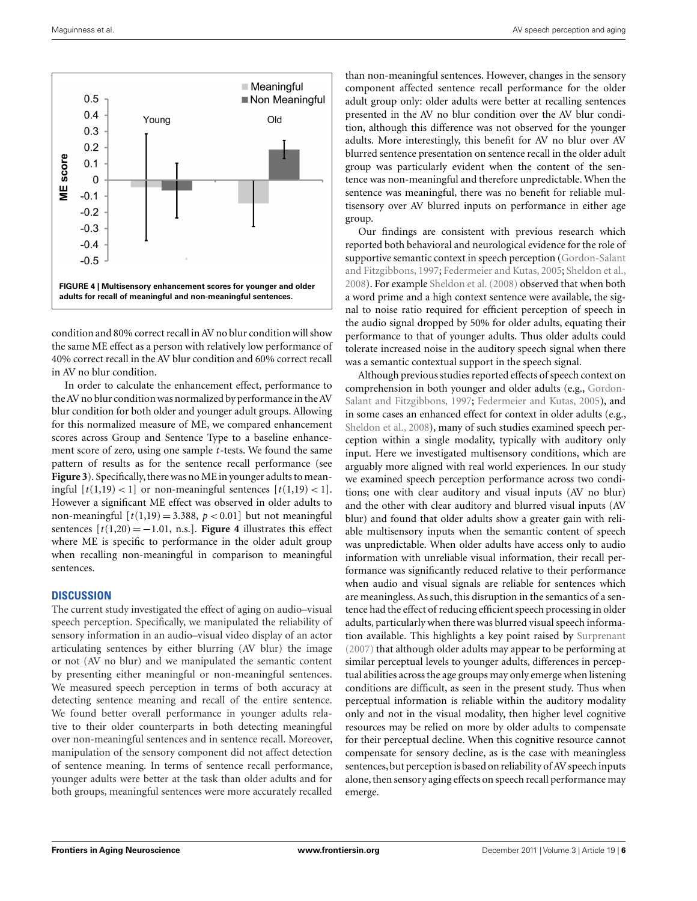

condition and 80% correct recall in AV no blur condition will show the same ME effect as a person with relatively low performance of 40% correct recall in the AV blur condition and 60% correct recall in AV no blur condition.

In order to calculate the enhancement effect, performance to theAV no blur condition was normalized by performance in theAV blur condition for both older and younger adult groups. Allowing for this normalized measure of ME, we compared enhancement scores across Group and Sentence Type to a baseline enhancement score of zero, using one sample *t*-tests. We found the same pattern of results as for the sentence recall performance (see **[Figure 3](#page-4-0)**). Specifically, there was no ME in younger adults to meaningful  $[t(1,19)$  < 1] or non-meaningful sentences  $[t(1,19)$  < 1]. However a significant ME effect was observed in older adults to non-meaningful  $[t(1,19) = 3.388, p < 0.01]$  but not meaningful sentences  $[t(1,20) = -1.01$ , n.s.]. **Figure 4** illustrates this effect where ME is specific to performance in the older adult group when recalling non-meaningful in comparison to meaningful sentences.

# **DISCUSSION**

The current study investigated the effect of aging on audio–visual speech perception. Specifically, we manipulated the reliability of sensory information in an audio–visual video display of an actor articulating sentences by either blurring (AV blur) the image or not (AV no blur) and we manipulated the semantic content by presenting either meaningful or non-meaningful sentences. We measured speech perception in terms of both accuracy at detecting sentence meaning and recall of the entire sentence. We found better overall performance in younger adults relative to their older counterparts in both detecting meaningful over non-meaningful sentences and in sentence recall. Moreover, manipulation of the sensory component did not affect detection of sentence meaning. In terms of sentence recall performance, younger adults were better at the task than older adults and for both groups, meaningful sentences were more accurately recalled

than non-meaningful sentences. However, changes in the sensory component affected sentence recall performance for the older adult group only: older adults were better at recalling sentences presented in the AV no blur condition over the AV blur condition, although this difference was not observed for the younger adults. More interestingly, this benefit for AV no blur over AV blurred sentence presentation on sentence recall in the older adult group was particularly evident when the content of the sentence was non-meaningful and therefore unpredictable. When the sentence was meaningful, there was no benefit for reliable multisensory over AV blurred inputs on performance in either age group.

Our findings are consistent with previous research which reported both behavioral and neurological evidence for the role of supportive sem[antic](#page-7-0) [context](#page-7-0) [in](#page-7-0) [speech](#page-7-0) [perception](#page-7-0) [\(](#page-7-0)Gordon-Salant and Fitzgibbons, [1997;](#page-7-0) [Federmeier and Kutas, 2005;](#page-7-0) [Sheldon et al.,](#page-7-0) [2008\)](#page-7-0). For example [Sheldon et al.](#page-7-0) [\(2008\)](#page-7-0) observed that when both a word prime and a high context sentence were available, the signal to noise ratio required for efficient perception of speech in the audio signal dropped by 50% for older adults, equating their performance to that of younger adults. Thus older adults could tolerate increased noise in the auditory speech signal when there was a semantic contextual support in the speech signal.

Although previous studies reported effects of speech context on comprehension in bot[h younger and older adults \(e.g.,](#page-7-0) Gordon-Salant and Fitzgibbons, [1997](#page-7-0); [Federmeier and Kutas, 2005](#page-7-0)), and in some cases an enhanced effect for context in older adults (e.g., [Sheldon et al., 2008](#page-7-0)), many of such studies examined speech perception within a single modality, typically with auditory only input. Here we investigated multisensory conditions, which are arguably more aligned with real world experiences. In our study we examined speech perception performance across two conditions; one with clear auditory and visual inputs (AV no blur) and the other with clear auditory and blurred visual inputs (AV blur) and found that older adults show a greater gain with reliable multisensory inputs when the semantic content of speech was unpredictable. When older adults have access only to audio information with unreliable visual information, their recall performance was significantly reduced relative to their performance when audio and visual signals are reliable for sentences which are meaningless. As such, this disruption in the semantics of a sentence had the effect of reducing efficient speech processing in older adults, particularly when there was blurred visual speech information available. This highlights a key point raised by [Surprenant](#page-8-0) [\(2007](#page-8-0)) that although older adults may appear to be performing at similar perceptual levels to younger adults, differences in perceptual abilities across the age groups may only emerge when listening conditions are difficult, as seen in the present study. Thus when perceptual information is reliable within the auditory modality only and not in the visual modality, then higher level cognitive resources may be relied on more by older adults to compensate for their perceptual decline. When this cognitive resource cannot compensate for sensory decline, as is the case with meaningless sentences, but perception is based on reliability of AV speech inputs alone, then sensory aging effects on speech recall performance may emerge.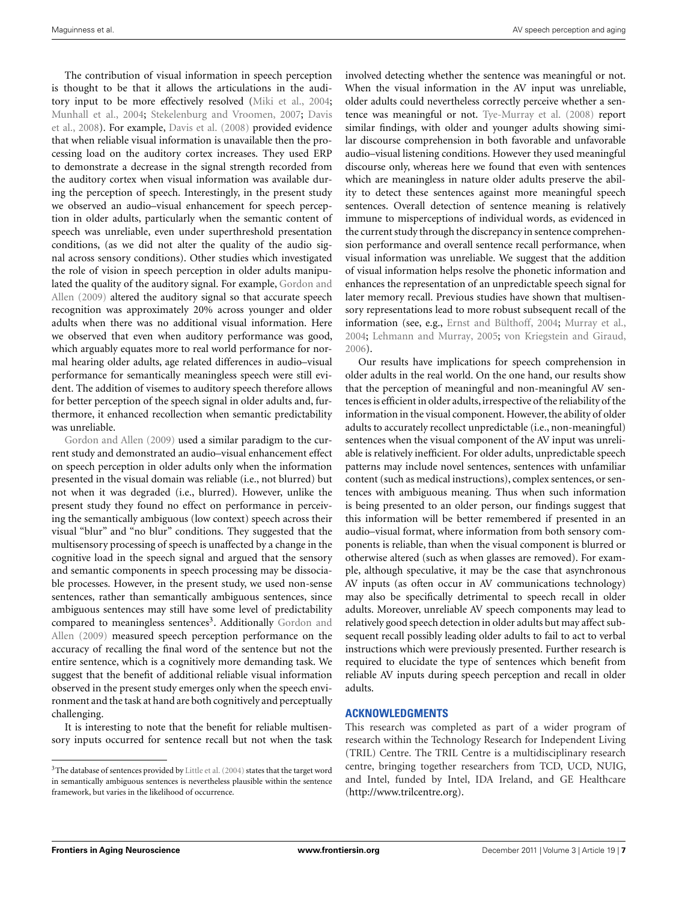The contribution of visual information in speech perception is thought to be that it allows the articulations in the auditory input to be more effectively resolved [\(Miki et al.](#page-7-0), [2004;](#page-7-0) [Munhall et al., 2004](#page-7-0); [Stekelenburg and Vroomen](#page-8-0)[,](#page-7-0) [2007](#page-8-0)[;](#page-7-0) Davis et al., [2008](#page-7-0)). For example, [Davis et al.](#page-7-0) [\(2008\)](#page-7-0) provided evidence that when reliable visual information is unavailable then the processing load on the auditory cortex increases. They used ERP to demonstrate a decrease in the signal strength recorded from the auditory cortex when visual information was available during the perception of speech. Interestingly, in the present study we observed an audio–visual enhancement for speech perception in older adults, particularly when the semantic content of speech was unreliable, even under superthreshold presentation conditions, (as we did not alter the quality of the audio signal across sensory conditions). Other studies which investigated the role of vision in speech perception in older adults manipulated [the](#page-7-0) [quality](#page-7-0) [of](#page-7-0) [the](#page-7-0) [auditory](#page-7-0) [signal.](#page-7-0) [For](#page-7-0) [example,](#page-7-0) Gordon and Allen [\(2009](#page-7-0)) altered the auditory signal so that accurate speech recognition was approximately 20% across younger and older adults when there was no additional visual information. Here we observed that even when auditory performance was good, which arguably equates more to real world performance for normal hearing older adults, age related differences in audio–visual performance for semantically meaningless speech were still evident. The addition of visemes to auditory speech therefore allows for better perception of the speech signal in older adults and, furthermore, it enhanced recollection when semantic predictability [was](#page-7-0) [unreliable.](#page-7-0)

Gordon and Allen [\(2009](#page-7-0)) used a similar paradigm to the current study and demonstrated an audio–visual enhancement effect on speech perception in older adults only when the information presented in the visual domain was reliable (i.e., not blurred) but not when it was degraded (i.e., blurred). However, unlike the present study they found no effect on performance in perceiving the semantically ambiguous (low context) speech across their visual "blur" and "no blur" conditions. They suggested that the multisensory processing of speech is unaffected by a change in the cognitive load in the speech signal and argued that the sensory and semantic components in speech processing may be dissociable processes. However, in the present study, we used non-sense sentences, rather than semantically ambiguous sentences, since ambiguous sentences may still have some level of predictability compared to meaningless sentences<sup>3</sup>. Additionally Gordon and Allen [\(2009\)](#page-7-0) measured speech perception performance on the accuracy of recalling the final word of the sentence but not the entire sentence, which is a cognitively more demanding task. We suggest that the benefit of additional reliable visual information observed in the present study emerges only when the speech environment and the task at hand are both cognitively and perceptually challenging.

It is interesting to note that the benefit for reliable multisensory inputs occurred for sentence recall but not when the task involved detecting whether the sentence was meaningful or not. When the visual information in the AV input was unreliable, older adults could nevertheless correctly perceive whether a sentence was meaningful or not. [Tye-Murray et al.](#page-8-0) [\(2008\)](#page-8-0) report similar findings, with older and younger adults showing similar discourse comprehension in both favorable and unfavorable audio–visual listening conditions. However they used meaningful discourse only, whereas here we found that even with sentences which are meaningless in nature older adults preserve the ability to detect these sentences against more meaningful speech sentences. Overall detection of sentence meaning is relatively immune to misperceptions of individual words, as evidenced in the current study through the discrepancy in sentence comprehension performance and overall sentence recall performance, when visual information was unreliable. We suggest that the addition of visual information helps resolve the phonetic information and enhances the representation of an unpredictable speech signal for later memory recall. Previous studies have shown that multisensory representations lead to more robust subsequent recall of the information (see, e.g., [Ernst and Bülthoff](#page-7-0), [2004](#page-7-0); [Murray et al.,](#page-7-0) [2004;](#page-7-0) [Lehmann and Murray, 2005](#page-7-0); [von Kriegstein and Giraud,](#page-8-0) [2006\)](#page-8-0).

Our results have implications for speech comprehension in older adults in the real world. On the one hand, our results show that the perception of meaningful and non-meaningful AV sentences is efficient in older adults, irrespective of the reliability of the information in the visual component. However, the ability of older adults to accurately recollect unpredictable (i.e., non-meaningful) sentences when the visual component of the AV input was unreliable is relatively inefficient. For older adults, unpredictable speech patterns may include novel sentences, sentences with unfamiliar content (such as medical instructions), complex sentences, or sentences with ambiguous meaning. Thus when such information is being presented to an older person, our findings suggest that this information will be better remembered if presented in an audio–visual format, where information from both sensory components is reliable, than when the visual component is blurred or otherwise altered (such as when glasses are removed). For example, although speculative, it may be the case that asynchronous AV inputs (as often occur in AV communications technology) may also be specifically detrimental to speech recall in older adults. Moreover, unreliable AV speech components may lead to relatively good speech detection in older adults but may affect subsequent recall possibly leading older adults to fail to act to verbal instructions which were previously presented. Further research is required to elucidate the type of sentences which benefit from reliable AV inputs during speech perception and recall in older adults.

#### **ACKNOWLEDGMENTS**

This research was completed as part of a wider program of research within the Technology Research for Independent Living (TRIL) Centre. The TRIL Centre is a multidisciplinary research centre, bringing together researchers from TCD, UCD, NUIG, and Intel, funded by Intel, IDA Ireland, and GE Healthcare [\(http://www.trilcentre.org\)](http://www.trilcentre.org).

 $^3\!$  The database of sentences provided by [Little et al.](#page-7-0) [\(2004](#page-7-0)) states that the target word in semantically ambiguous sentences is nevertheless plausible within the sentence framework, but varies in the likelihood of occurrence.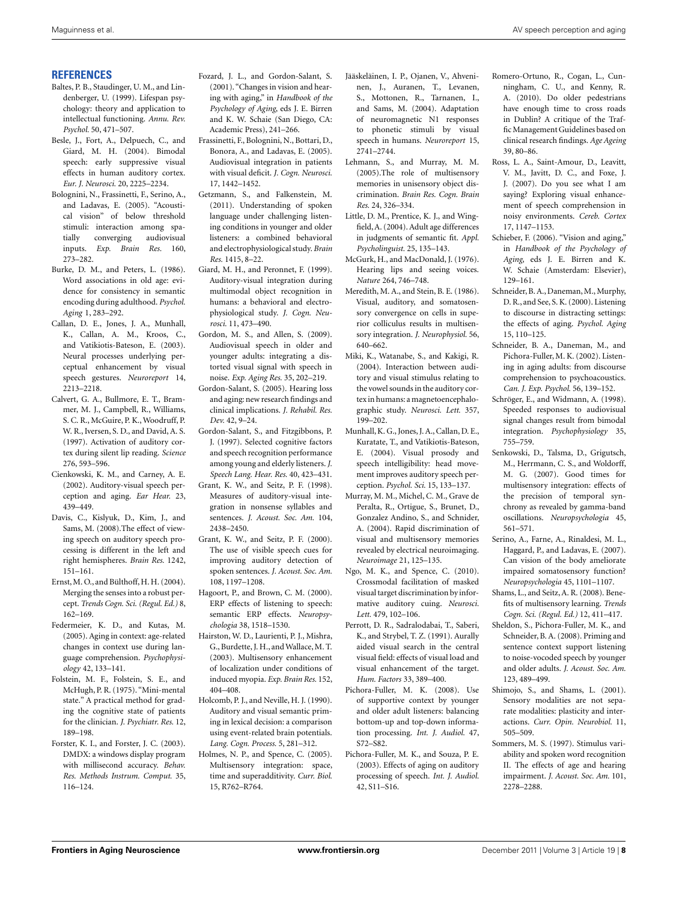#### <span id="page-7-0"></span>**REFERENCES**

- Baltes, P. B., Staudinger, U. M., and Lindenberger, U. (1999). Lifespan psychology: theory and application to intellectual functioning. *Annu. Rev. Psychol.* 50, 471–507.
- Besle, J., Fort, A., Delpuech, C., and Giard, M. H. (2004). Bimodal speech: early suppressive visual effects in human auditory cortex. *Eur. J. Neurosci.* 20, 2225–2234.
- Bolognini, N., Frassinetti, F., Serino, A., and Ladavas, E. (2005). "Acoustical vision" of below threshold stimuli: interaction among spatially converging audiovisual inputs. *Exp. Brain Res.* 160, 273–282.
- Burke, D. M., and Peters, L. (1986). Word associations in old age: evidence for consistency in semantic encoding during adulthood. *Psychol. Aging* 1, 283–292.
- Callan, D. E., Jones, J. A., Munhall, K., Callan, A. M., Kroos, C., and Vatikiotis-Bateson, E. (2003). Neural processes underlying perceptual enhancement by visual speech gestures. *Neuroreport* 14, 2213–2218.
- Calvert, G. A., Bullmore, E. T., Brammer, M. J., Campbell, R., Williams, S. C. R., McGuire, P. K.,Woodruff, P. W. R., Iversen, S. D., and David, A. S. (1997). Activation of auditory cortex during silent lip reading. *Science* 276, 593–596.
- Cienkowski, K. M., and Carney, A. E. (2002). Auditory-visual speech perception and aging. *Ear Hear.* 23, 439–449.
- Davis, C., Kislyuk, D., Kim, J., and Sams, M. (2008).The effect of viewing speech on auditory speech processing is different in the left and right hemispheres. *Brain Res.* 1242, 151–161.
- Ernst,M. O., and Bülthoff, H. H. (2004). Merging the senses into a robust percept. *Trends Cogn. Sci. (Regul. Ed.)* 8, 162–169.
- Federmeier, K. D., and Kutas, M. (2005). Aging in context: age-related changes in context use during language comprehension. *Psychophysiology* 42, 133–141.
- Folstein, M. F., Folstein, S. E., and McHugh, P. R. (1975). "Mini-mental state." A practical method for grading the cognitive state of patients for the clinician. *J. Psychiatr. Res.* 12, 189–198.
- Forster, K. I., and Forster, J. C. (2003). DMDX: a windows display program with millisecond accuracy. *Behav. Res. Methods Instrum. Comput.* 35, 116–124.
- Fozard, J. L., and Gordon-Salant, S. (2001). "Changes in vision and hearing with aging," in *Handbook of the Psychology of Aging*, eds J. E. Birren and K. W. Schaie (San Diego, CA: Academic Press), 241–266.
- Frassinetti, F., Bolognini, N., Bottari, D., Bonora, A., and Ladavas, E. (2005). Audiovisual integration in patients with visual deficit. *J. Cogn. Neurosci.* 17, 1442–1452.
- Getzmann, S., and Falkenstein, M. (2011). Understanding of spoken language under challenging listening conditions in younger and older listeners: a combined behavioral and electrophysiological study.*Brain Res.* 1415, 8–22.
- Giard, M. H., and Peronnet, F. (1999). Auditory-visual integration during multimodal object recognition in humans: a behavioral and electrophysiological study. *J. Cogn. Neurosci.* 11, 473–490.
- Gordon, M. S., and Allen, S. (2009). Audiovisual speech in older and younger adults: integrating a distorted visual signal with speech in noise. *Exp. Aging Res.* 35, 202–219.
- Gordon-Salant, S. (2005). Hearing loss and aging: new research findings and clinical implications. *J. Rehabil. Res. Dev.* 42, 9–24.
- Gordon-Salant, S., and Fitzgibbons, P. J. (1997). Selected cognitive factors and speech recognition performance among young and elderly listeners. *J. Speech Lang. Hear. Res.* 40, 423–431.
- Grant, K. W., and Seitz, P. F. (1998). Measures of auditory-visual integration in nonsense syllables and sentences. *J. Acoust. Soc. Am.* 104, 2438–2450.
- Grant, K. W., and Seitz, P. F. (2000). The use of visible speech cues for improving auditory detection of spoken sentences. *J. Acoust. Soc. Am.* 108, 1197–1208.
- Hagoort, P., and Brown, C. M. (2000). ERP effects of listening to speech: semantic ERP effects. *Neuropsychologia* 38, 1518–1530.
- Hairston, W. D., Laurienti, P. J., Mishra, G., Burdette, J. H., and Wallace, M. T. (2003). Multisensory enhancement of localization under conditions of induced myopia. *Exp. Brain Res.* 152, 404–408.
- Holcomb, P. J., and Neville, H. J. (1990). Auditory and visual semantic priming in lexical decision: a comparison using event-related brain potentials. *Lang. Cogn. Process.* 5, 281–312.
- Holmes, N. P., and Spence, C. (2005). Multisensory integration: space, time and superadditivity. *Curr. Biol.* 15, R762–R764.
- Jääskeläinen, I. P., Ojanen, V., Ahveninen, J., Auranen, T., Levanen, S., Mottonen, R., Tarnanen, I., and Sams, M. (2004). Adaptation of neuromagnetic N1 responses to phonetic stimuli by visual speech in humans. *Neuroreport* 15, 2741–2744.
- Lehmann, S., and Murray, M. M. (2005).The role of multisensory memories in unisensory object discrimination. *Brain Res. Cogn. Brain Res.* 24, 326–334.
- Little, D. M., Prentice, K. J., and Wingfield,A. (2004). Adult age differences in judgments of semantic fit. *Appl. Psycholinguist.* 25, 135–143.
- McGurk, H., and MacDonald, J. (1976). Hearing lips and seeing voices. *Nature* 264, 746–748.
- Meredith, M. A., and Stein, B. E. (1986). Visual, auditory, and somatosensory convergence on cells in superior colliculus results in multisensory integration. *J. Neurophysiol.* 56, 640–662.
- Miki, K., Watanabe, S., and Kakigi, R. (2004). Interaction between auditory and visual stimulus relating to the vowel sounds in the auditory cortex in humans: a magnetoencephalographic study. *Neurosci. Lett.* 357, 199–202.
- Munhall, K. G., Jones, J. A., Callan, D. E., Kuratate, T., and Vatikiotis-Bateson, E. (2004). Visual prosody and speech intelligibility: head movement improves auditory speech perception. *Psychol. Sci.* 15, 133–137.
- Murray, M. M., Michel, C. M., Grave de Peralta, R., Ortigue, S., Brunet, D., Gonzalez Andino, S., and Schnider, A. (2004). Rapid discrimination of visual and multisensory memories revealed by electrical neuroimaging. *Neuroimage* 21, 125–135.
- Ngo, M. K., and Spence, C. (2010). Crossmodal facilitation of masked visual target discrimination by informative auditory cuing. *Neurosci. Lett.* 479, 102–106.
- Perrott, D. R., Sadralodabai, T., Saberi, K., and Strybel, T. Z. (1991). Aurally aided visual search in the central visual field: effects of visual load and visual enhancement of the target. *Hum. Factors* 33, 389–400.
- Pichora-Fuller, M. K. (2008). Use of supportive context by younger and older adult listeners: balancing bottom-up and top-down information processing. *Int. J. Audiol.* 47, S72–S82.
- Pichora-Fuller, M. K., and Souza, P. E. (2003). Effects of aging on auditory processing of speech. *Int. J. Audiol.* 42, S11–S16.
- Romero-Ortuno, R., Cogan, L., Cunningham, C. U., and Kenny, R. A. (2010). Do older pedestrians have enough time to cross roads in Dublin? A critique of the TrafficManagement Guidelines based on clinical research findings. *Age Ageing* 39, 80–86.
- Ross, L. A., Saint-Amour, D., Leavitt, V. M., Javitt, D. C., and Foxe, J. J. (2007). Do you see what I am saying? Exploring visual enhancement of speech comprehension in noisy environments. *Cereb. Cortex* 17, 1147–1153.
- Schieber, F. (2006). "Vision and aging," in *Handbook of the Psychology of Aging*, eds J. E. Birren and K. W. Schaie (Amsterdam: Elsevier), 129–161.
- Schneider, B. A., Daneman, M., Murphy, D. R., and See, S. K. (2000). Listening to discourse in distracting settings: the effects of aging. *Psychol. Aging* 15, 110–125.
- Schneider, B. A., Daneman, M., and Pichora-Fuller, M. K. (2002). Listening in aging adults: from discourse comprehension to psychoacoustics. *Can. J. Exp. Psychol.* 56, 139–152.
- Schröger, E., and Widmann, A. (1998). Speeded responses to audiovisual signal changes result from bimodal integration. *Psychophysiology* 35, 755–759.
- Senkowski, D., Talsma, D., Grigutsch, M., Herrmann, C. S., and Woldorff, M. G. (2007). Good times for multisensory integration: effects of the precision of temporal synchrony as revealed by gamma-band oscillations. *Neuropsychologia* 45, 561–571.
- Serino, A., Farne, A., Rinaldesi, M. L., Haggard, P., and Ladavas, E. (2007). Can vision of the body ameliorate impaired somatosensory function? *Neuropsychologia* 45, 1101–1107.
- Shams, L., and Seitz, A. R. (2008). Benefits of multisensory learning. *Trends Cogn. Sci. (Regul. Ed.)* 12, 411–417.
- Sheldon, S., Pichora-Fuller, M. K., and Schneider, B. A. (2008). Priming and sentence context support listening to noise-vocoded speech by younger and older adults. *J. Acoust. Soc. Am.* 123, 489–499.
- Shimojo, S., and Shams, L. (2001). Sensory modalities are not separate modalities: plasticity and interactions. *Curr. Opin. Neurobiol.* 11, 505–509.
- Sommers, M. S. (1997). Stimulus variability and spoken word recognition II. The effects of age and hearing impairment. *J. Acoust. Soc. Am.* 101, 2278–2288.